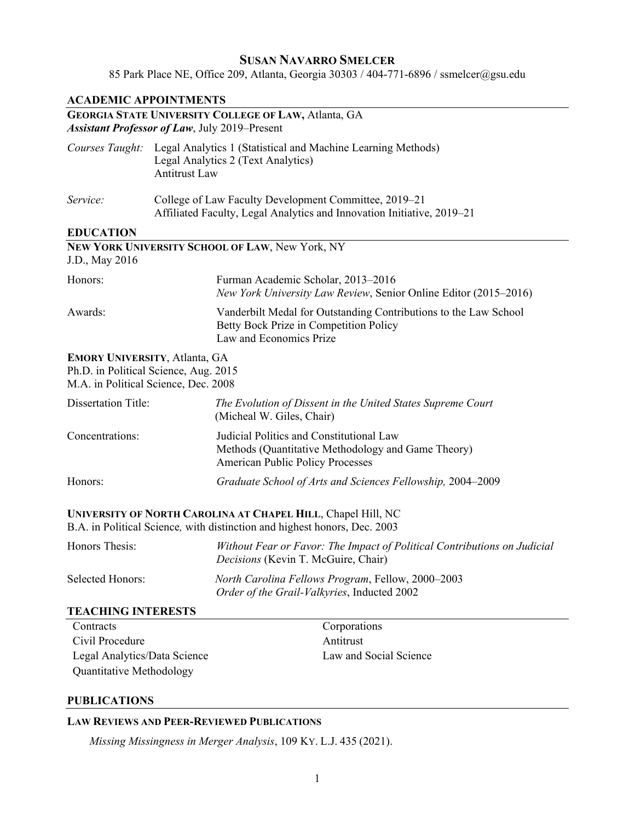# **SUSAN NAVARRO SMELCER** 85 Park Place NE, Office 209, Atlanta, Georgia 30303 / 404-771-6896 / ssmelcer@gsu.edu

| <b>ACADEMIC APPOINTMENTS</b>                                                                                          |                                                                                                                                            |                                                                                                                                           |
|-----------------------------------------------------------------------------------------------------------------------|--------------------------------------------------------------------------------------------------------------------------------------------|-------------------------------------------------------------------------------------------------------------------------------------------|
|                                                                                                                       |                                                                                                                                            | <b>GEORGIA STATE UNIVERSITY COLLEGE OF LAW, Atlanta, GA</b>                                                                               |
| <b>Assistant Professor of Law</b> , July 2019–Present                                                                 |                                                                                                                                            |                                                                                                                                           |
|                                                                                                                       | Courses Taught: Legal Analytics 1 (Statistical and Machine Learning Methods)<br>Legal Analytics 2 (Text Analytics)<br><b>Antitrust Law</b> |                                                                                                                                           |
| Service:                                                                                                              | College of Law Faculty Development Committee, 2019–21<br>Affiliated Faculty, Legal Analytics and Innovation Initiative, 2019-21            |                                                                                                                                           |
| <b>EDUCATION</b>                                                                                                      |                                                                                                                                            |                                                                                                                                           |
| J.D., May 2016                                                                                                        |                                                                                                                                            | NEW YORK UNIVERSITY SCHOOL OF LAW, New York, NY                                                                                           |
| Honors:                                                                                                               |                                                                                                                                            | Furman Academic Scholar, 2013-2016<br>New York University Law Review, Senior Online Editor (2015–2016)                                    |
| Awards:                                                                                                               |                                                                                                                                            | Vanderbilt Medal for Outstanding Contributions to the Law School<br>Betty Bock Prize in Competition Policy<br>Law and Economics Prize     |
| <b>EMORY UNIVERSITY, Atlanta, GA</b><br>Ph.D. in Political Science, Aug. 2015<br>M.A. in Political Science, Dec. 2008 |                                                                                                                                            |                                                                                                                                           |
| <b>Dissertation Title:</b>                                                                                            |                                                                                                                                            | The Evolution of Dissent in the United States Supreme Court<br>(Micheal W. Giles, Chair)                                                  |
| Concentrations:                                                                                                       |                                                                                                                                            | Judicial Politics and Constitutional Law<br>Methods (Quantitative Methodology and Game Theory)<br><b>American Public Policy Processes</b> |
| Honors:                                                                                                               |                                                                                                                                            | Graduate School of Arts and Sciences Fellowship, 2004-2009                                                                                |
|                                                                                                                       |                                                                                                                                            | UNIVERSITY OF NORTH CAROLINA AT CHAPEL HILL, Chapel Hill, NC<br>B.A. in Political Science, with distinction and highest honors, Dec. 2003 |
| Honors Thesis:                                                                                                        |                                                                                                                                            | Without Fear or Favor: The Impact of Political Contributions on Judicial<br>Decisions (Kevin T. McGuire, Chair)                           |
| <b>Selected Honors:</b>                                                                                               |                                                                                                                                            | North Carolina Fellows Program, Fellow, 2000-2003<br>Order of the Grail-Valkyries, Inducted 2002                                          |
| <b>TEACHING INTERESTS</b>                                                                                             |                                                                                                                                            |                                                                                                                                           |
| Contracts                                                                                                             |                                                                                                                                            | Corporations                                                                                                                              |
| Civil Procedure                                                                                                       |                                                                                                                                            | Antitrust                                                                                                                                 |
| Legal Analytics/Data Science                                                                                          |                                                                                                                                            | Law and Social Science                                                                                                                    |
| Quantitative Methodology                                                                                              |                                                                                                                                            |                                                                                                                                           |

# **PUBLICATIONS**

# **LAW REVIEWS AND PEER-REVIEWED PUBLICATIONS**

*Missing Missingness in Merger Analysis*, 109 KY. L.J. 435 (2021).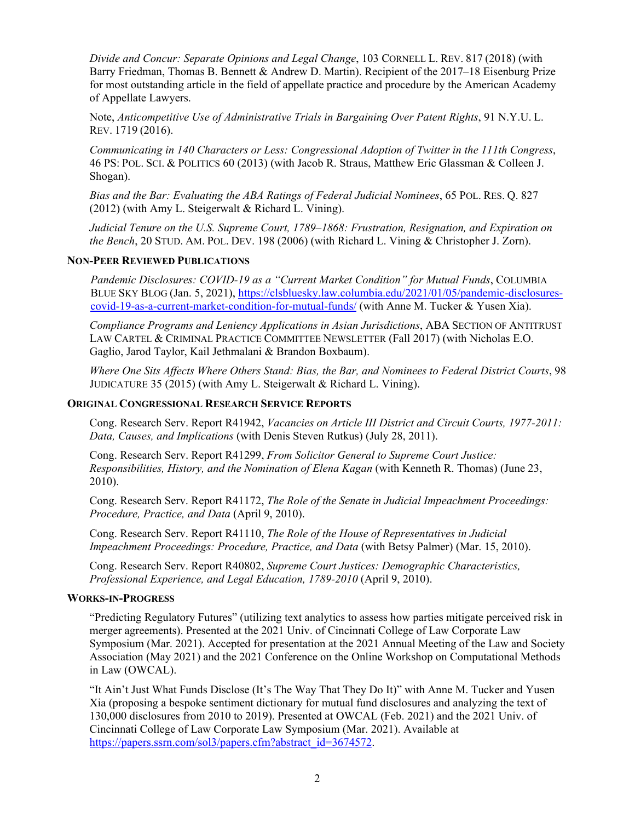*Divide and Concur: Separate Opinions and Legal Change*, 103 CORNELL L. REV. 817 (2018) (with Barry Friedman, Thomas B. Bennett & Andrew D. Martin). Recipient of the 2017–18 Eisenburg Prize for most outstanding article in the field of appellate practice and procedure by the American Academy of Appellate Lawyers.

Note, *Anticompetitive Use of Administrative Trials in Bargaining Over Patent Rights*, 91 N.Y.U. L. REV. 1719 (2016).

*Communicating in 140 Characters or Less: Congressional Adoption of Twitter in the 111th Congress*, 46 PS: POL. SCI. & POLITICS 60 (2013) (with Jacob R. Straus, Matthew Eric Glassman & Colleen J. Shogan).

*Bias and the Bar: Evaluating the ABA Ratings of Federal Judicial Nominees*, 65 POL. RES. Q. 827 (2012) (with Amy L. Steigerwalt & Richard L. Vining).

*Judicial Tenure on the U.S. Supreme Court, 1789–1868: Frustration, Resignation, and Expiration on the Bench*, 20 STUD. AM. POL. DEV. 198 (2006) (with Richard L. Vining & Christopher J. Zorn).

#### **NON-PEER REVIEWED PUBLICATIONS**

*Pandemic Disclosures: COVID-19 as a "Current Market Condition" for Mutual Funds*, COLUMBIA BLUE SKY BLOG (Jan. 5, 2021), [https://clsbluesky.law.columbia.edu/2021/01/05/pandemic-disclosures](https://clsbluesky.law.columbia.edu/2021/01/05/pandemic-disclosures-covid-19-as-a-current-market-condition-for-mutual-funds/)[covid-19-as-a-current-market-condition-for-mutual-funds/](https://clsbluesky.law.columbia.edu/2021/01/05/pandemic-disclosures-covid-19-as-a-current-market-condition-for-mutual-funds/) (with Anne M. Tucker & Yusen Xia).

*Compliance Programs and Leniency Applications in Asian Jurisdictions*, ABA SECTION OF ANTITRUST LAW CARTEL & CRIMINAL PRACTICE COMMITTEE NEWSLETTER (Fall 2017) (with Nicholas E.O. Gaglio, Jarod Taylor, Kail Jethmalani & Brandon Boxbaum).

*Where One Sits Affects Where Others Stand: Bias, the Bar, and Nominees to Federal District Courts*, 98 JUDICATURE 35 (2015) (with Amy L. Steigerwalt & Richard L. Vining).

#### **ORIGINAL CONGRESSIONAL RESEARCH SERVICE REPORTS**

Cong. Research Serv. Report R41942, *Vacancies on Article III District and Circuit Courts, 1977-2011: Data, Causes, and Implications* (with Denis Steven Rutkus) (July 28, 2011).

Cong. Research Serv. Report R41299, *From Solicitor General to Supreme Court Justice: Responsibilities, History, and the Nomination of Elena Kagan* (with Kenneth R. Thomas) (June 23, 2010).

Cong. Research Serv. Report R41172, *The Role of the Senate in Judicial Impeachment Proceedings: Procedure, Practice, and Data* (April 9, 2010).

Cong. Research Serv. Report R41110, *The Role of the House of Representatives in Judicial Impeachment Proceedings: Procedure, Practice, and Data* (with Betsy Palmer) (Mar. 15, 2010).

Cong. Research Serv. Report R40802, *Supreme Court Justices: Demographic Characteristics, Professional Experience, and Legal Education, 1789-2010* (April 9, 2010).

#### **WORKS-IN-PROGRESS**

"Predicting Regulatory Futures" (utilizing text analytics to assess how parties mitigate perceived risk in merger agreements). Presented at the 2021 Univ. of Cincinnati College of Law Corporate Law Symposium (Mar. 2021). Accepted for presentation at the 2021 Annual Meeting of the Law and Society Association (May 2021) and the 2021 Conference on the Online Workshop on Computational Methods in Law (OWCAL).

"It Ain't Just What Funds Disclose (It's The Way That They Do It)" with Anne M. Tucker and Yusen Xia (proposing a bespoke sentiment dictionary for mutual fund disclosures and analyzing the text of 130,000 disclosures from 2010 to 2019). Presented at OWCAL (Feb. 2021) and the 2021 Univ. of Cincinnati College of Law Corporate Law Symposium (Mar. 2021). Available at [https://papers.ssrn.com/sol3/papers.cfm?abstract\\_id=3674572.](https://papers.ssrn.com/sol3/papers.cfm?abstract_id=3674572)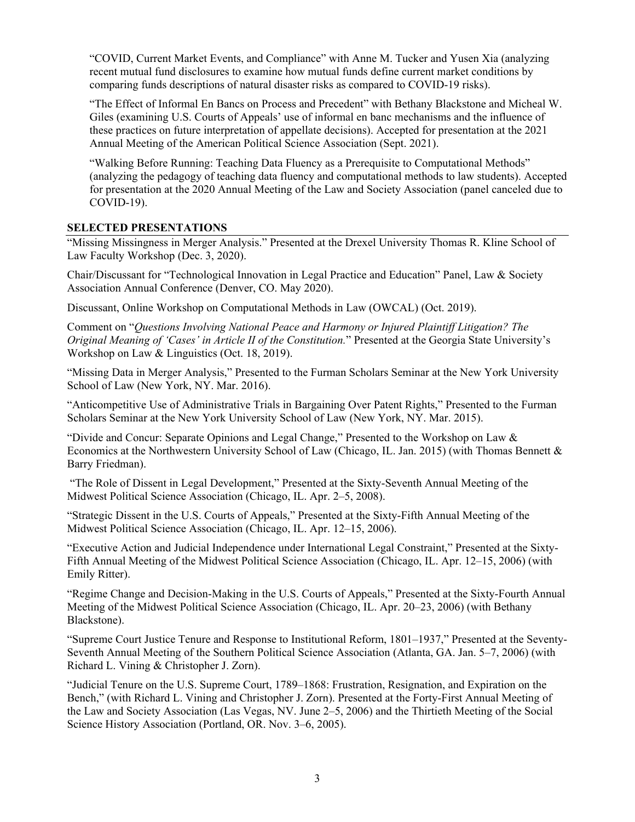"COVID, Current Market Events, and Compliance" with Anne M. Tucker and Yusen Xia (analyzing recent mutual fund disclosures to examine how mutual funds define current market conditions by comparing funds descriptions of natural disaster risks as compared to COVID-19 risks).

"The Effect of Informal En Bancs on Process and Precedent" with Bethany Blackstone and Micheal W. Giles (examining U.S. Courts of Appeals' use of informal en banc mechanisms and the influence of these practices on future interpretation of appellate decisions). Accepted for presentation at the 2021 Annual Meeting of the American Political Science Association (Sept. 2021).

"Walking Before Running: Teaching Data Fluency as a Prerequisite to Computational Methods" (analyzing the pedagogy of teaching data fluency and computational methods to law students). Accepted for presentation at the 2020 Annual Meeting of the Law and Society Association (panel canceled due to COVID-19).

### **SELECTED PRESENTATIONS**

"Missing Missingness in Merger Analysis." Presented at the Drexel University Thomas R. Kline School of Law Faculty Workshop (Dec. 3, 2020).

Chair/Discussant for "Technological Innovation in Legal Practice and Education" Panel, Law & Society Association Annual Conference (Denver, CO. May 2020).

Discussant, Online Workshop on Computational Methods in Law (OWCAL) (Oct. 2019).

Comment on "*Questions Involving National Peace and Harmony or Injured Plaintiff Litigation? The Original Meaning of 'Cases' in Article II of the Constitution.*" Presented at the Georgia State University's Workshop on Law & Linguistics (Oct. 18, 2019).

"Missing Data in Merger Analysis," Presented to the Furman Scholars Seminar at the New York University School of Law (New York, NY. Mar. 2016).

"Anticompetitive Use of Administrative Trials in Bargaining Over Patent Rights," Presented to the Furman Scholars Seminar at the New York University School of Law (New York, NY. Mar. 2015).

"Divide and Concur: Separate Opinions and Legal Change," Presented to the Workshop on Law & Economics at the Northwestern University School of Law (Chicago, IL. Jan. 2015) (with Thomas Bennett & Barry Friedman).

"The Role of Dissent in Legal Development," Presented at the Sixty-Seventh Annual Meeting of the Midwest Political Science Association (Chicago, IL. Apr. 2–5, 2008).

"Strategic Dissent in the U.S. Courts of Appeals," Presented at the Sixty-Fifth Annual Meeting of the Midwest Political Science Association (Chicago, IL. Apr. 12–15, 2006).

"Executive Action and Judicial Independence under International Legal Constraint," Presented at the Sixty-Fifth Annual Meeting of the Midwest Political Science Association (Chicago, IL. Apr. 12–15, 2006) (with Emily Ritter).

"Regime Change and Decision-Making in the U.S. Courts of Appeals," Presented at the Sixty-Fourth Annual Meeting of the Midwest Political Science Association (Chicago, IL. Apr. 20–23, 2006) (with Bethany Blackstone).

"Supreme Court Justice Tenure and Response to Institutional Reform, 1801–1937," Presented at the Seventy-Seventh Annual Meeting of the Southern Political Science Association (Atlanta, GA. Jan. 5–7, 2006) (with Richard L. Vining & Christopher J. Zorn).

"Judicial Tenure on the U.S. Supreme Court, 1789–1868: Frustration, Resignation, and Expiration on the Bench," (with Richard L. Vining and Christopher J. Zorn). Presented at the Forty-First Annual Meeting of the Law and Society Association (Las Vegas, NV. June 2–5, 2006) and the Thirtieth Meeting of the Social Science History Association (Portland, OR. Nov. 3–6, 2005).